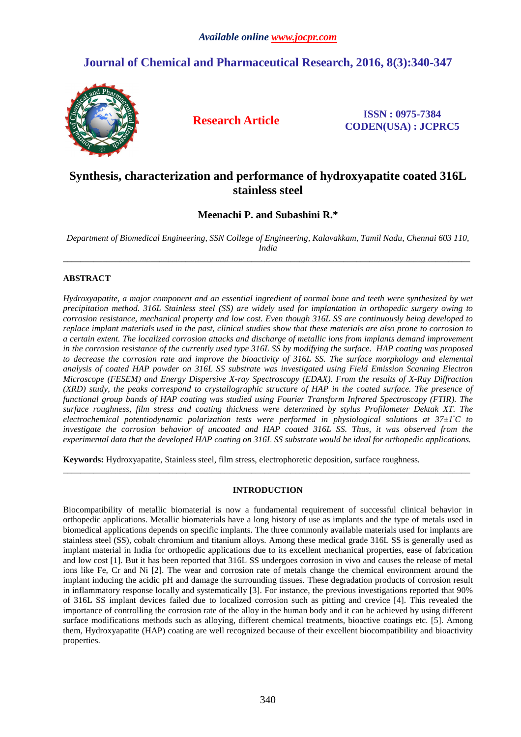# **Journal of Chemical and Pharmaceutical Research, 2016, 8(3):340-347**



**Research Article ISSN : 0975-7384 CODEN(USA) : JCPRC5**

# **Synthesis, characterization and performance of hydroxyapatite coated 316L stainless steel**

# **Meenachi P. and Subashini R.\***

*Department of Biomedical Engineering, SSN College of Engineering, Kalavakkam, Tamil Nadu, Chennai 603 110, India*  \_\_\_\_\_\_\_\_\_\_\_\_\_\_\_\_\_\_\_\_\_\_\_\_\_\_\_\_\_\_\_\_\_\_\_\_\_\_\_\_\_\_\_\_\_\_\_\_\_\_\_\_\_\_\_\_\_\_\_\_\_\_\_\_\_\_\_\_\_\_\_\_\_\_\_\_\_\_\_\_\_\_\_\_\_\_\_\_\_\_\_\_\_

# **ABSTRACT**

*Hydroxyapatite, a major component and an essential ingredient of normal bone and teeth were synthesized by wet precipitation method. 316L Stainless steel (SS) are widely used for implantation in orthopedic surgery owing to corrosion resistance, mechanical property and low cost. Even though 316L SS are continuously being developed to replace implant materials used in the past, clinical studies show that these materials are also prone to corrosion to a certain extent. The localized corrosion attacks and discharge of metallic ions from implants demand improvement in the corrosion resistance of the currently used type 316L SS by modifying the surface. HAP coating was proposed to decrease the corrosion rate and improve the bioactivity of 316L SS. The surface morphology and elemental analysis of coated HAP powder on 316L SS substrate was investigated using Field Emission Scanning Electron Microscope (FESEM) and Energy Dispersive X-ray Spectroscopy (EDAX). From the results of X-Ray Diffraction (XRD)* study, the peaks correspond to crystallographic structure of HAP in the coated surface. The presence of *functional group bands of HAP coating was studied using Fourier Transform Infrared Spectroscopy (FTIR). The surface roughness, film stress and coating thickness were determined by stylus Profilometer Dektak XT. The electrochemical potentiodynamic polarization tests were performed in physiological solutions at 37±1◦C to investigate the corrosion behavior of uncoated and HAP coated 316L SS. Thus, it was observed from the experimental data that the developed HAP coating on 316L SS substrate would be ideal for orthopedic applications.* 

**Keywords:** Hydroxyapatite, Stainless steel, film stress, electrophoretic deposition, surface roughness*.* 

# **INTRODUCTION**

\_\_\_\_\_\_\_\_\_\_\_\_\_\_\_\_\_\_\_\_\_\_\_\_\_\_\_\_\_\_\_\_\_\_\_\_\_\_\_\_\_\_\_\_\_\_\_\_\_\_\_\_\_\_\_\_\_\_\_\_\_\_\_\_\_\_\_\_\_\_\_\_\_\_\_\_\_\_\_\_\_\_\_\_\_\_\_\_\_\_\_\_\_

Biocompatibility of metallic biomaterial is now a fundamental requirement of successful clinical behavior in orthopedic applications. Metallic biomaterials have a long history of use as implants and the type of metals used in biomedical applications depends on specific implants. The three commonly available materials used for implants are stainless steel (SS), cobalt chromium and titanium alloys. Among these medical grade 316L SS is generally used as implant material in India for orthopedic applications due to its excellent mechanical properties, ease of fabrication and low cost [1]. But it has been reported that 316L SS undergoes corrosion in vivo and causes the release of metal ions like Fe, Cr and Ni [2]. The wear and corrosion rate of metals change the chemical environment around the implant inducing the acidic pH and damage the surrounding tissues. These degradation products of corrosion result in inflammatory response locally and systematically [3]. For instance, the previous investigations reported that 90% of 316L SS implant devices failed due to localized corrosion such as pitting and crevice [4]. This revealed the importance of controlling the corrosion rate of the alloy in the human body and it can be achieved by using different surface modifications methods such as alloying, different chemical treatments, bioactive coatings etc. [5]. Among them, Hydroxyapatite (HAP) coating are well recognized because of their excellent biocompatibility and bioactivity properties.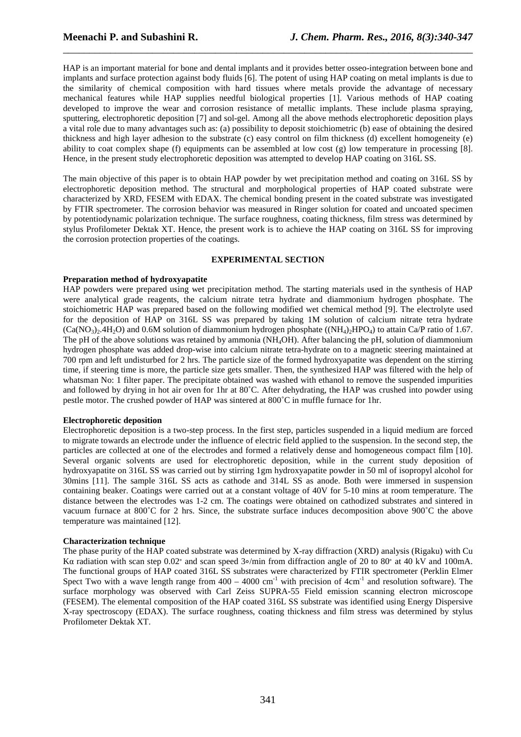HAP is an important material for bone and dental implants and it provides better osseo-integration between bone and implants and surface protection against body fluids [6]. The potent of using HAP coating on metal implants is due to the similarity of chemical composition with hard tissues where metals provide the advantage of necessary mechanical features while HAP supplies needful biological properties [1]. Various methods of HAP coating developed to improve the wear and corrosion resistance of metallic implants. These include plasma spraying, sputtering, electrophoretic deposition [7] and sol-gel. Among all the above methods electrophoretic deposition plays a vital role due to many advantages such as: (a) possibility to deposit stoichiometric (b) ease of obtaining the desired thickness and high layer adhesion to the substrate (c) easy control on film thickness (d) excellent homogeneity (e) ability to coat complex shape (f) equipments can be assembled at low cost (g) low temperature in processing [8]. Hence, in the present study electrophoretic deposition was attempted to develop HAP coating on 316L SS.

\_\_\_\_\_\_\_\_\_\_\_\_\_\_\_\_\_\_\_\_\_\_\_\_\_\_\_\_\_\_\_\_\_\_\_\_\_\_\_\_\_\_\_\_\_\_\_\_\_\_\_\_\_\_\_\_\_\_\_\_\_\_\_\_\_\_\_\_\_\_\_\_\_\_\_\_\_\_

The main objective of this paper is to obtain HAP powder by wet precipitation method and coating on 316L SS by electrophoretic deposition method. The structural and morphological properties of HAP coated substrate were characterized by XRD, FESEM with EDAX. The chemical bonding present in the coated substrate was investigated by FTIR spectrometer. The corrosion behavior was measured in Ringer solution for coated and uncoated specimen by potentiodynamic polarization technique. The surface roughness, coating thickness, film stress was determined by stylus Profilometer Dektak XT. Hence, the present work is to achieve the HAP coating on 316L SS for improving the corrosion protection properties of the coatings.

## **EXPERIMENTAL SECTION**

#### **Preparation method of hydroxyapatite**

HAP powders were prepared using wet precipitation method. The starting materials used in the synthesis of HAP were analytical grade reagents, the calcium nitrate tetra hydrate and diammonium hydrogen phosphate. The stoichiometric HAP was prepared based on the following modified wet chemical method [9]. The electrolyte used for the deposition of HAP on 316L SS was prepared by taking 1M solution of calcium nitrate tetra hydrate  $(Ca(NO<sub>3</sub>)<sub>2</sub>.4H<sub>2</sub>O)$  and 0.6M solution of diammonium hydrogen phosphate  $((NH<sub>4</sub>)<sub>2</sub>HPO<sub>4</sub>)$  to attain Ca/P ratio of 1.67. The pH of the above solutions was retained by ammonia (NH<sub>4</sub>OH). After balancing the pH, solution of diammonium hydrogen phosphate was added drop-wise into calcium nitrate tetra-hydrate on to a magnetic steering maintained at 700 rpm and left undisturbed for 2 hrs. The particle size of the formed hydroxyapatite was dependent on the stirring time, if steering time is more, the particle size gets smaller. Then, the synthesized HAP was filtered with the help of whatsman No: 1 filter paper. The precipitate obtained was washed with ethanol to remove the suspended impurities and followed by drying in hot air oven for 1hr at 80˚C. After dehydrating, the HAP was crushed into powder using pestle motor. The crushed powder of HAP was sintered at 800˚C in muffle furnace for 1hr.

### **Electrophoretic deposition**

Electrophoretic deposition is a two-step process. In the first step, particles suspended in a liquid medium are forced to migrate towards an electrode under the influence of electric field applied to the suspension. In the second step, the particles are collected at one of the electrodes and formed a relatively dense and homogeneous compact film [10]. Several organic solvents are used for electrophoretic deposition, while in the current study deposition of hydroxyapatite on 316L SS was carried out by stirring 1gm hydroxyapatite powder in 50 ml of isopropyl alcohol for 30mins [11]. The sample 316L SS acts as cathode and 314L SS as anode. Both were immersed in suspension containing beaker. Coatings were carried out at a constant voltage of 40V for 5-10 mins at room temperature. The distance between the electrodes was 1-2 cm. The coatings were obtained on cathodized substrates and sintered in vacuum furnace at 800˚C for 2 hrs. Since, the substrate surface induces decomposition above 900˚C the above temperature was maintained [12].

# **Characterization technique**

The phase purity of the HAP coated substrate was determined by X-ray diffraction (XRD) analysis (Rigaku) with Cu Kα radiation with scan step 0.02° and scan speed 3∘/min from diffraction angle of 20 to 80° at 40 kV and 100mA. The functional groups of HAP coated 316L SS substrates were characterized by FTIR spectrometer (Perklin Elmer Spect Two with a wave length range from  $400 - 4000$  cm<sup>-1</sup> with precision of  $4cm^{-1}$  and resolution software). The surface morphology was observed with Carl Zeiss SUPRA-55 Field emission scanning electron microscope (FESEM). The elemental composition of the HAP coated 316L SS substrate was identified using Energy Dispersive X-ray spectroscopy (EDAX). The surface roughness, coating thickness and film stress was determined by stylus Profilometer Dektak XT.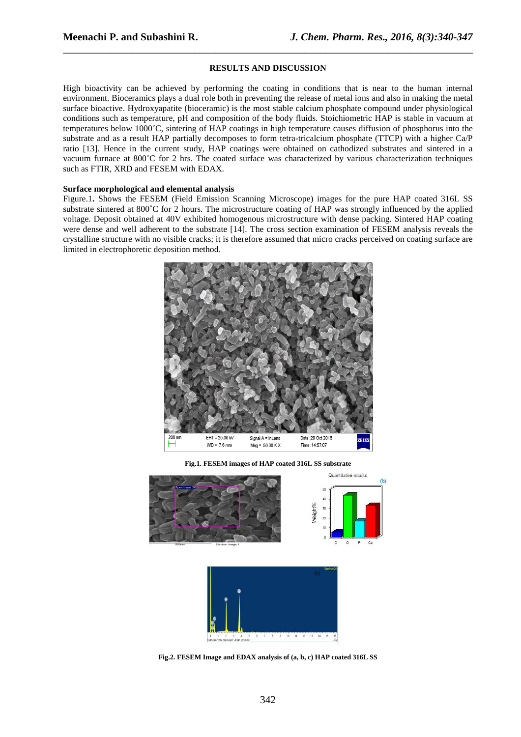# **RESULTS AND DISCUSSION**

\_\_\_\_\_\_\_\_\_\_\_\_\_\_\_\_\_\_\_\_\_\_\_\_\_\_\_\_\_\_\_\_\_\_\_\_\_\_\_\_\_\_\_\_\_\_\_\_\_\_\_\_\_\_\_\_\_\_\_\_\_\_\_\_\_\_\_\_\_\_\_\_\_\_\_\_\_\_

High bioactivity can be achieved by performing the coating in conditions that is near to the human internal environment. Bioceramics plays a dual role both in preventing the release of metal ions and also in making the metal surface bioactive. Hydroxyapatite (bioceramic) is the most stable calcium phosphate compound under physiological conditions such as temperature, pH and composition of the body fluids. Stoichiometric HAP is stable in vacuum at temperatures below 1000˚C, sintering of HAP coatings in high temperature causes diffusion of phosphorus into the substrate and as a result HAP partially decomposes to form tetra-tricalcium phosphate (TTCP) with a higher Ca/P ratio [13]. Hence in the current study, HAP coatings were obtained on cathodized substrates and sintered in a vacuum furnace at 800˚C for 2 hrs. The coated surface was characterized by various characterization techniques such as FTIR, XRD and FESEM with EDAX.

#### **Surface morphological and elemental analysis**

Figure.1**.** Shows the FESEM (Field Emission Scanning Microscope) images for the pure HAP coated 316L SS substrate sintered at 800˚C for 2 hours. The microstructure coating of HAP was strongly influenced by the applied voltage. Deposit obtained at 40V exhibited homogenous microstructure with dense packing. Sintered HAP coating were dense and well adherent to the substrate [14]. The cross section examination of FESEM analysis reveals the crystalline structure with no visible cracks; it is therefore assumed that micro cracks perceived on coating surface are limited in electrophoretic deposition method.



**Fig.1. FESEM images of HAP coated 316L SS substrate**



**Fig.2. FESEM Image and EDAX analysis of (a, b, c) HAP coated 316L SS**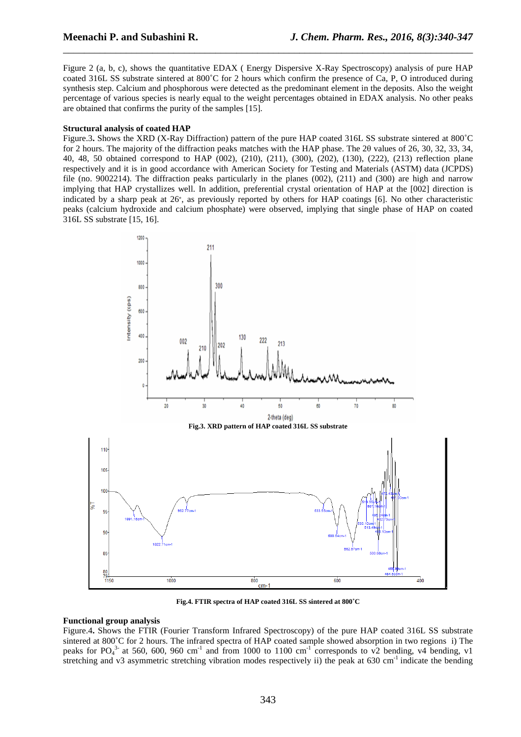Figure 2 (a, b, c), shows the quantitative EDAX ( Energy Dispersive X-Ray Spectroscopy) analysis of pure HAP coated 316L SS substrate sintered at 800˚C for 2 hours which confirm the presence of Ca, P, O introduced during synthesis step. Calcium and phosphorous were detected as the predominant element in the deposits. Also the weight percentage of various species is nearly equal to the weight percentages obtained in EDAX analysis. No other peaks are obtained that confirms the purity of the samples [15].

\_\_\_\_\_\_\_\_\_\_\_\_\_\_\_\_\_\_\_\_\_\_\_\_\_\_\_\_\_\_\_\_\_\_\_\_\_\_\_\_\_\_\_\_\_\_\_\_\_\_\_\_\_\_\_\_\_\_\_\_\_\_\_\_\_\_\_\_\_\_\_\_\_\_\_\_\_\_

#### **Structural analysis of coated HAP**

Figure.3**.** Shows the XRD (X-Ray Diffraction) pattern of the pure HAP coated 316L SS substrate sintered at 800˚C for 2 hours. The majority of the diffraction peaks matches with the HAP phase. The 2θ values of 26, 30, 32, 33, 34, 40, 48, 50 obtained correspond to HAP (002), (210), (211), (300), (202), (130), (222), (213) reflection plane respectively and it is in good accordance with American Society for Testing and Materials (ASTM) data (JCPDS) file (no. 9002214). The diffraction peaks particularly in the planes (002), (211) and (300) are high and narrow implying that HAP crystallizes well. In addition, preferential crystal orientation of HAP at the [002] direction is indicated by a sharp peak at 26<sup>∘</sup> , as previously reported by others for HAP coatings [6]. No other characteristic peaks (calcium hydroxide and calcium phosphate) were observed, implying that single phase of HAP on coated 316L SS substrate [15, 16].



**Fig.4. FTIR spectra of HAP coated 316L SS sintered at 800˚C** 

#### **Functional group analysis**

Figure.4**.** Shows the FTIR (Fourier Transform Infrared Spectroscopy) of the pure HAP coated 316L SS substrate sintered at 800˚C for 2 hours. The infrared spectra of HAP coated sample showed absorption in two regions i) The peaks for PO $_4^3$  at 560, 600, 960 cm<sup>-1</sup> and from 1000 to 1100 cm<sup>-1</sup> corresponds to v2 bending, v4 bending, v1 stretching and v3 asymmetric stretching vibration modes respectively ii) the peak at  $630 \text{ cm}^{-1}$  indicate the bending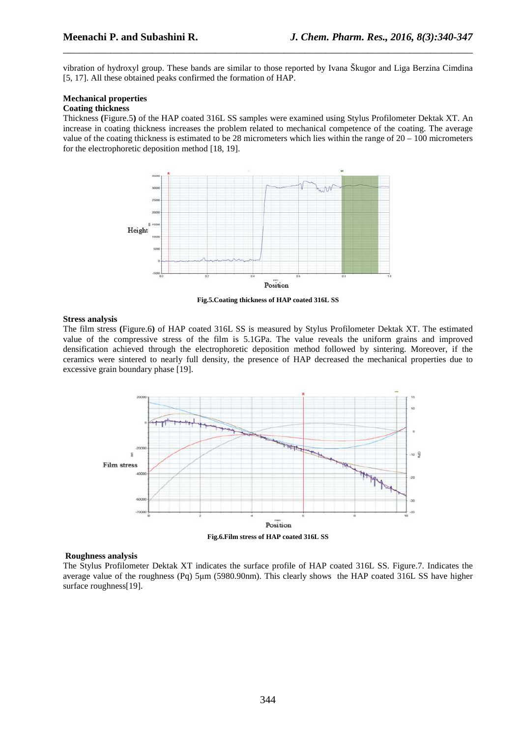vibration of hydroxyl group. These bands are similar to those reported by Ivana Škugor and Liga Berzina Cimdina [5, 17]. All these obtained peaks confirmed the formation of HAP.

\_\_\_\_\_\_\_\_\_\_\_\_\_\_\_\_\_\_\_\_\_\_\_\_\_\_\_\_\_\_\_\_\_\_\_\_\_\_\_\_\_\_\_\_\_\_\_\_\_\_\_\_\_\_\_\_\_\_\_\_\_\_\_\_\_\_\_\_\_\_\_\_\_\_\_\_\_\_

## **Mechanical properties**

#### **Coating thickness**

Thickness **(**Figure.5**)** of the HAP coated 316L SS samples were examined using Stylus Profilometer Dektak XT. An increase in coating thickness increases the problem related to mechanical competence of the coating. The average value of the coating thickness is estimated to be 28 micrometers which lies within the range of 20 – 100 micrometers for the electrophoretic deposition method [18, 19].



**Fig.5.Coating thickness of HAP coated 316L SS** 

#### **Stress analysis**

The film stress **(**Figure.6**)** of HAP coated 316L SS is measured by Stylus Profilometer Dektak XT. The estimated value of the compressive stress of the film is 5.1GPa. The value reveals the uniform grains and improved densification achieved through the electrophoretic deposition method followed by sintering. Moreover, if the ceramics were sintered to nearly full density, the presence of HAP decreased the mechanical properties due to excessive grain boundary phase [19].



**Fig.6.Film stress of HAP coated 316L SS** 

#### **Roughness analysis**

The Stylus Profilometer Dektak XT indicates the surface profile of HAP coated 316L SS. Figure.7. Indicates the average value of the roughness (Pq) 5µm (5980.90nm). This clearly shows the HAP coated 316L SS have higher surface roughness[19].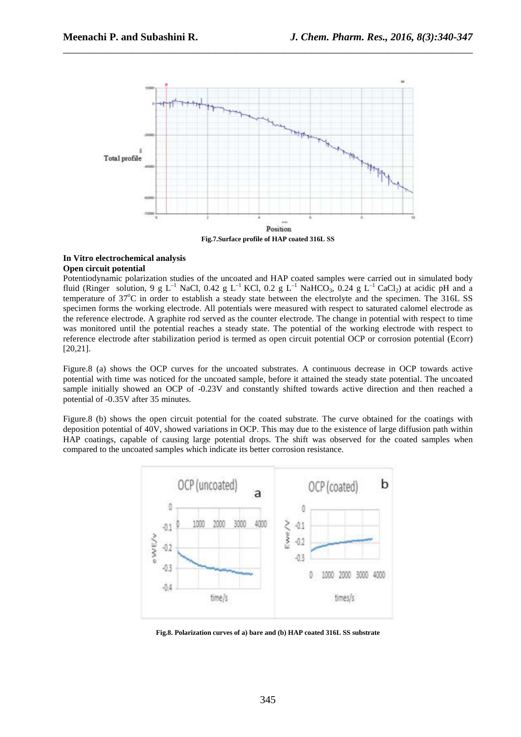

\_\_\_\_\_\_\_\_\_\_\_\_\_\_\_\_\_\_\_\_\_\_\_\_\_\_\_\_\_\_\_\_\_\_\_\_\_\_\_\_\_\_\_\_\_\_\_\_\_\_\_\_\_\_\_\_\_\_\_\_\_\_\_\_\_\_\_\_\_\_\_\_\_\_\_\_\_\_

#### **In Vitro electrochemical analysis Open circuit potential**

Potentiodynamic polarization studies of the uncoated and HAP coated samples were carried out in simulated body fluid (Ringer solution, 9 g L<sup>-1</sup> NaCl, 0.42 g L<sup>-1</sup> KCl, 0.2 g L<sup>-1</sup> NaHCO<sub>3</sub>, 0.24 g L<sup>-1</sup> CaCl<sub>2</sub>) at acidic pH and a temperature of 37°C in order to establish a steady state between the electrolyte and the specimen. The 316L SS specimen forms the working electrode. All potentials were measured with respect to saturated calomel electrode as the reference electrode. A graphite rod served as the counter electrode. The change in potential with respect to time was monitored until the potential reaches a steady state. The potential of the working electrode with respect to reference electrode after stabilization period is termed as open circuit potential OCP or corrosion potential (Ecorr) [20,21].

Figure.8 (a) shows the OCP curves for the uncoated substrates. A continuous decrease in OCP towards active potential with time was noticed for the uncoated sample, before it attained the steady state potential. The uncoated sample initially showed an OCP of -0.23V and constantly shifted towards active direction and then reached a potential of -0.35V after 35 minutes.

Figure.8 (b) shows the open circuit potential for the coated substrate. The curve obtained for the coatings with deposition potential of 40V, showed variations in OCP. This may due to the existence of large diffusion path within HAP coatings, capable of causing large potential drops. The shift was observed for the coated samples when compared to the uncoated samples which indicate its better corrosion resistance.



**Fig.8. Polarization curves of a) bare and (b) HAP coated 316L SS substrate**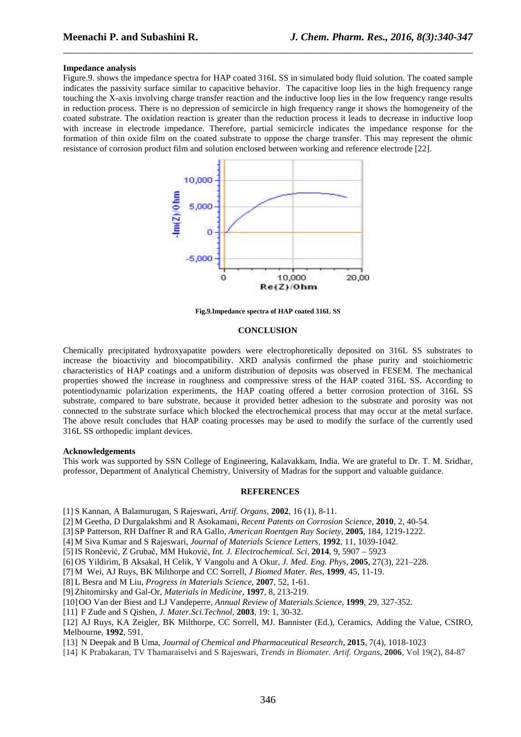#### **Impedance analysis**

Figure.9. shows the impedance spectra for HAP coated 316L SS in simulated body fluid solution. The coated sample indicates the passivity surface similar to capacitive behavior. The capacitive loop lies in the high frequency range touching the X-axis involving charge transfer reaction and the inductive loop lies in the low frequency range results in reduction process. There is no depression of semicircle in high frequency range it shows the homogeneity of the coated substrate. The oxidation reaction is greater than the reduction process it leads to decrease in inductive loop with increase in electrode impedance. Therefore, partial semicircle indicates the impedance response for the formation of thin oxide film on the coated substrate to oppose the charge transfer. This may represent the ohmic resistance of corrosion product film and solution enclosed between working and reference electrode [22].

\_\_\_\_\_\_\_\_\_\_\_\_\_\_\_\_\_\_\_\_\_\_\_\_\_\_\_\_\_\_\_\_\_\_\_\_\_\_\_\_\_\_\_\_\_\_\_\_\_\_\_\_\_\_\_\_\_\_\_\_\_\_\_\_\_\_\_\_\_\_\_\_\_\_\_\_\_\_



**Fig.9.Impedance spectra of HAP coated 316L SS** 

## **CONCLUSION**

Chemically precipitated hydroxyapatite powders were electrophoretically deposited on 316L SS substrates to increase the bioactivity and biocompatibility. XRD analysis confirmed the phase purity and stoichiometric characteristics of HAP coatings and a uniform distribution of deposits was observed in FESEM. The mechanical properties showed the increase in roughness and compressive stress of the HAP coated 316L SS. According to potentiodynamic polarization experiments, the HAP coating offered a better corrosion protection of 316L SS substrate, compared to bare substrate, because it provided better adhesion to the substrate and porosity was not connected to the substrate surface which blocked the electrochemical process that may occur at the metal surface. The above result concludes that HAP coating processes may be used to modify the surface of the currently used 316L SS orthopedic implant devices.

#### **Acknowledgements**

This work was supported by SSN College of Engineering, Kalavakkam, India. We are grateful to Dr. T. M. Sridhar, professor, Department of Analytical Chemistry, University of Madras for the support and valuable guidance.

#### **REFERENCES**

[1] S Kannan, A Balamurugan, S Rajeswari, *Artif. Organs,* **2002**, 16 (1), 8-11.

[2] M Geetha, D Durgalakshmi and R Asokamani, *Recent Patents on Corrosion Science*, **2010**, 2, 40-54.

[3] SP Patterson, RH Daffner R and RA Gallo, *American Roentgen Ray Society*, **2005**, 184, 1219-1222.

[4] M Siva Kumar and S Rajeswari, *Journal of Materials Science Letters*, **1992**, 11, 1039-1042.

[5] IS Rončević, Z Grubač, MM Huković, *Int. J. Electrochemical. Sci,* **2014**, 9, 5907 – 5923

[6] OS Yildirim, B Aksakal, H Celik, Y Vangolu and A Okur*, J. Med. Eng. Phys*, **2005**, 27(3), 221–228.

[7] M Wei, AJ Ruys, BK Milthorpe and CC Sorrell, *J Biomed Mater. Res*, **1999**, 45, 11-19.

[8] L Besra and M Liu, *Progress in Materials Science*, **2007**, 52, 1-61.

[9] Zhitomirsky and Gal-Or, *Materials in Medicine*, **1997**, 8, 213-219.

[10]OO Van der Biest and LJ Vandeperre, *Annual Review of Materials Science*, **1999**, 29, 327-352.

[11] F Zude and S Qishen, *J. Mater.Sci.Technol*, **2003**, 19: 1, 30-32.

[12] AJ Ruys, KA Zeigler, BK Milthorpe, CC Sorrell, MJ. Bannister (Ed.), Ceramics, Adding the Value, CSIRO, Melbourne, **1992**, 591.

[13] N Deepak and B Uma, *Journal of Chemical and Pharmaceutical Research*, **2015**, 7(4), 1018-1023

[14] K Prabakaran, TV Thamaraiselvi and S Rajeswari, *Trends in Biomater. Artif. Organs*, **2006**, Vol 19(2), 84-87